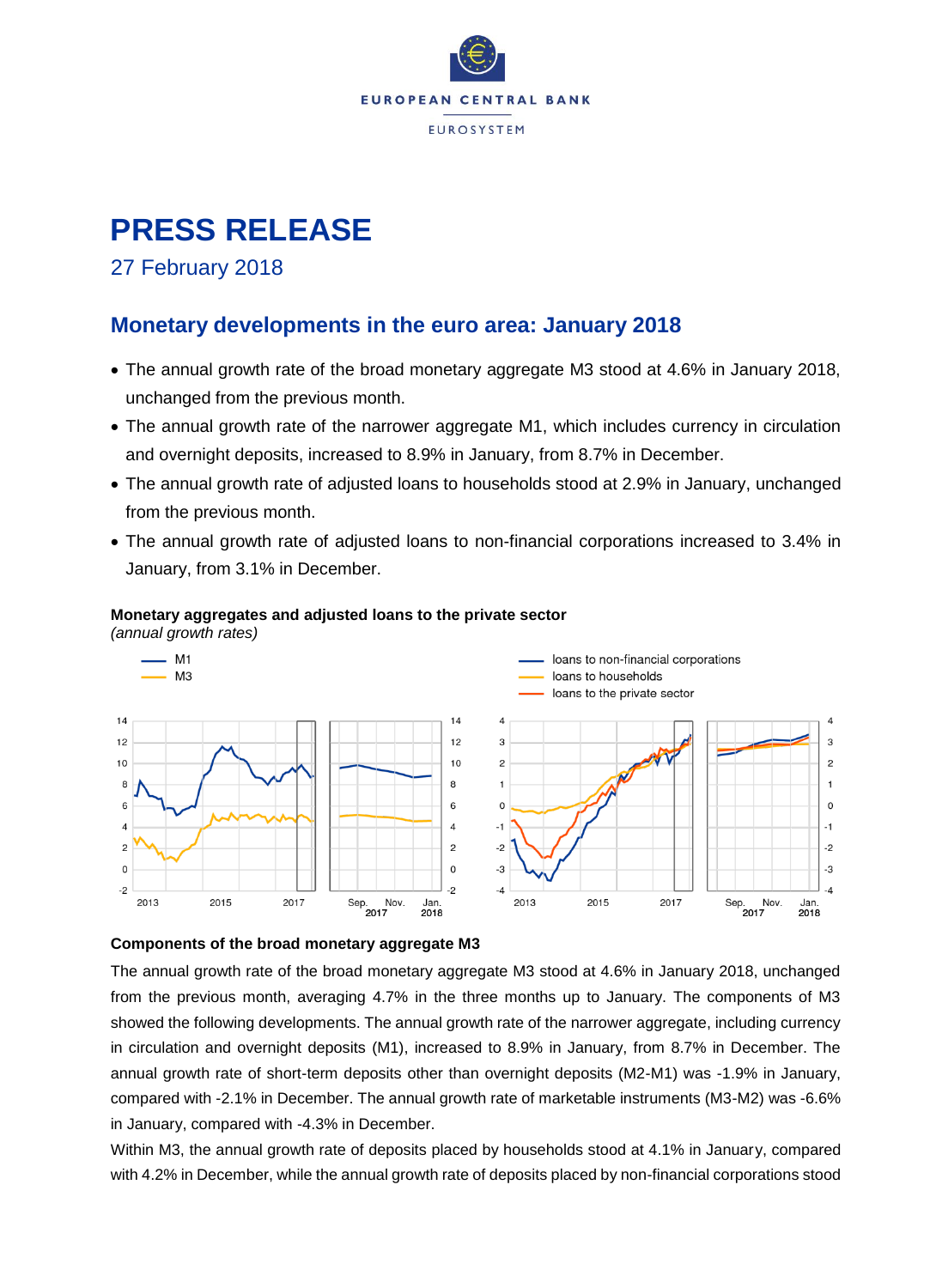

# **PRESS RELEASE**

### 27 February 2018

### **Monetary developments in the euro area: January 2018**

- The annual growth rate of the broad monetary aggregate M3 stood at 4.6% in January 2018, unchanged from the previous month.
- The annual growth rate of the narrower aggregate M1, which includes currency in circulation and overnight deposits, increased to 8.9% in January, from 8.7% in December.
- The annual growth rate of adjusted loans to households stood at 2.9% in January, unchanged from the previous month.
- The annual growth rate of adjusted loans to non-financial corporations increased to 3.4% in January, from 3.1% in December.



#### **Monetary aggregates and adjusted loans to the private sector**

#### **Components of the broad monetary aggregate M3**

The annual growth rate of the broad monetary aggregate M3 stood at 4.6% in January 2018, unchanged from the previous month, averaging 4.7% in the three months up to January. The components of M3 showed the following developments. The annual growth rate of the narrower aggregate, including currency in circulation and overnight deposits (M1), increased to 8.9% in January, from 8.7% in December. The annual growth rate of short-term deposits other than overnight deposits (M2-M1) was -1.9% in January, compared with -2.1% in December. The annual growth rate of marketable instruments (M3-M2) was -6.6% in January, compared with -4.3% in December.

Within M3, the annual growth rate of deposits placed by households stood at 4.1% in January, compared with 4.2% in December, while the annual growth rate of deposits placed by non-financial corporations stood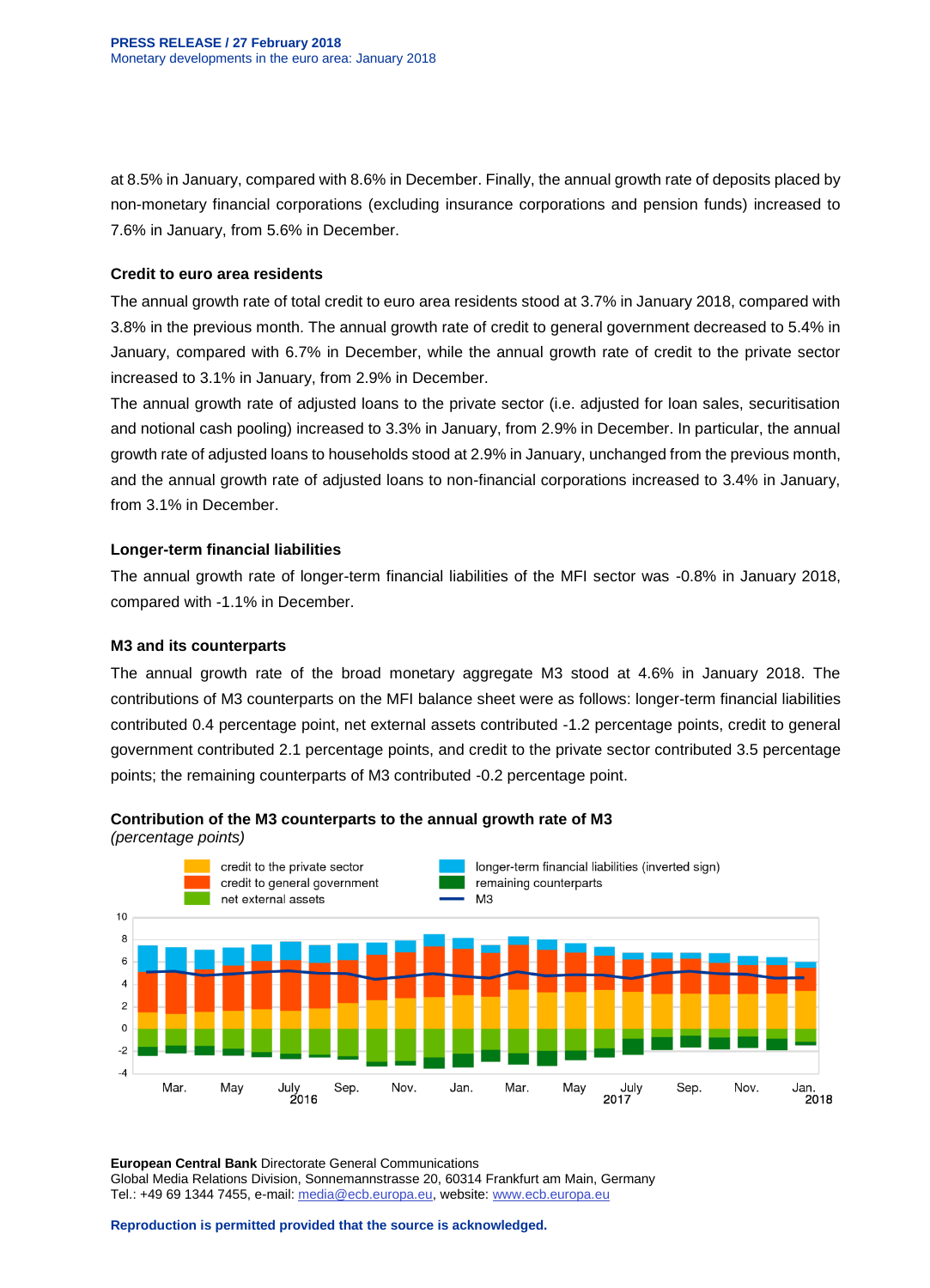at 8.5% in January, compared with 8.6% in December. Finally, the annual growth rate of deposits placed by non-monetary financial corporations (excluding insurance corporations and pension funds) increased to 7.6% in January, from 5.6% in December.

#### **Credit to euro area residents**

The annual growth rate of total credit to euro area residents stood at 3.7% in January 2018, compared with 3.8% in the previous month. The annual growth rate of credit to general government decreased to 5.4% in January, compared with 6.7% in December, while the annual growth rate of credit to the private sector increased to 3.1% in January, from 2.9% in December.

The annual growth rate of adjusted loans to the private sector (i.e. adjusted for loan sales, securitisation and notional cash pooling) increased to 3.3% in January, from 2.9% in December. In particular, the annual growth rate of adjusted loans to households stood at 2.9% in January, unchanged from the previous month, and the annual growth rate of adjusted loans to non-financial corporations increased to 3.4% in January, from 3.1% in December.

#### **Longer-term financial liabilities**

The annual growth rate of longer-term financial liabilities of the MFI sector was -0.8% in January 2018, compared with -1.1% in December.

#### **M3 and its counterparts**

The annual growth rate of the broad monetary aggregate M3 stood at 4.6% in January 2018. The contributions of M3 counterparts on the MFI balance sheet were as follows: longer-term financial liabilities contributed 0.4 percentage point, net external assets contributed -1.2 percentage points, credit to general government contributed 2.1 percentage points, and credit to the private sector contributed 3.5 percentage points; the remaining counterparts of M3 contributed -0.2 percentage point.



#### **Contribution of the M3 counterparts to the annual growth rate of M3**

*(percentage points)*

**European Central Bank** Directorate General Communications Global Media Relations Division, Sonnemannstrasse 20, 60314 Frankfurt am Main, Germany Tel.: +49 69 1344 7455, e-mail: [media@ecb.europa.eu,](mailto:media@ecb.europa.eu) website[: www.ecb.europa.eu](http://www.ecb.europa.eu/)

**Reproduction is permitted provided that the source is acknowledged.**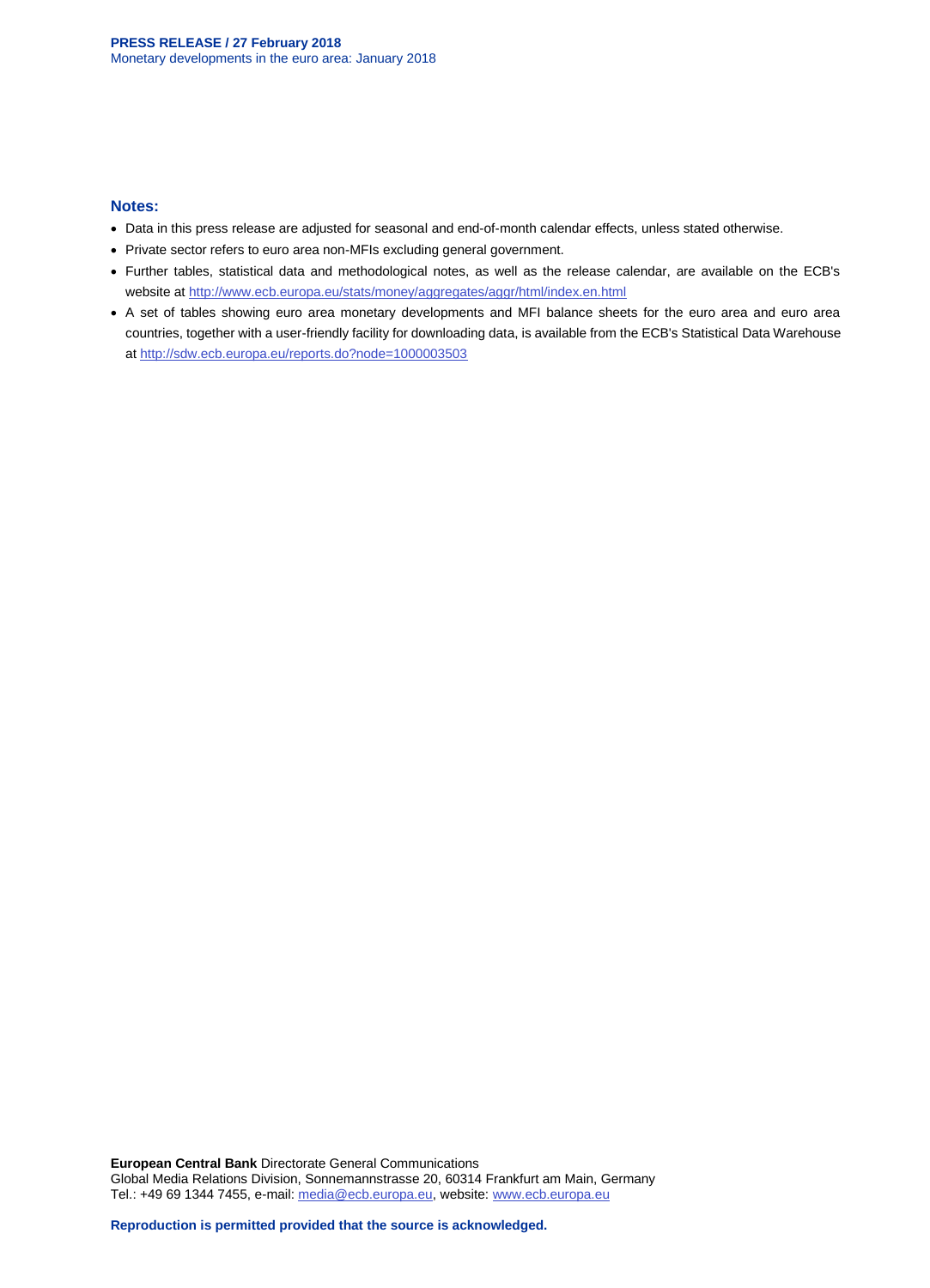#### **Notes:**

- Data in this press release are adjusted for seasonal and end-of-month calendar effects, unless stated otherwise.
- Private sector refers to euro area non-MFIs excluding general government.
- Further tables, statistical data and methodological notes, as well as the release calendar, are available on the ECB's website at<http://www.ecb.europa.eu/stats/money/aggregates/aggr/html/index.en.html>
- A set of tables showing euro area monetary developments and MFI balance sheets for the euro area and euro area countries, together with a user-friendly facility for downloading data, is available from the ECB's Statistical Data Warehouse at<http://sdw.ecb.europa.eu/reports.do?node=1000003503>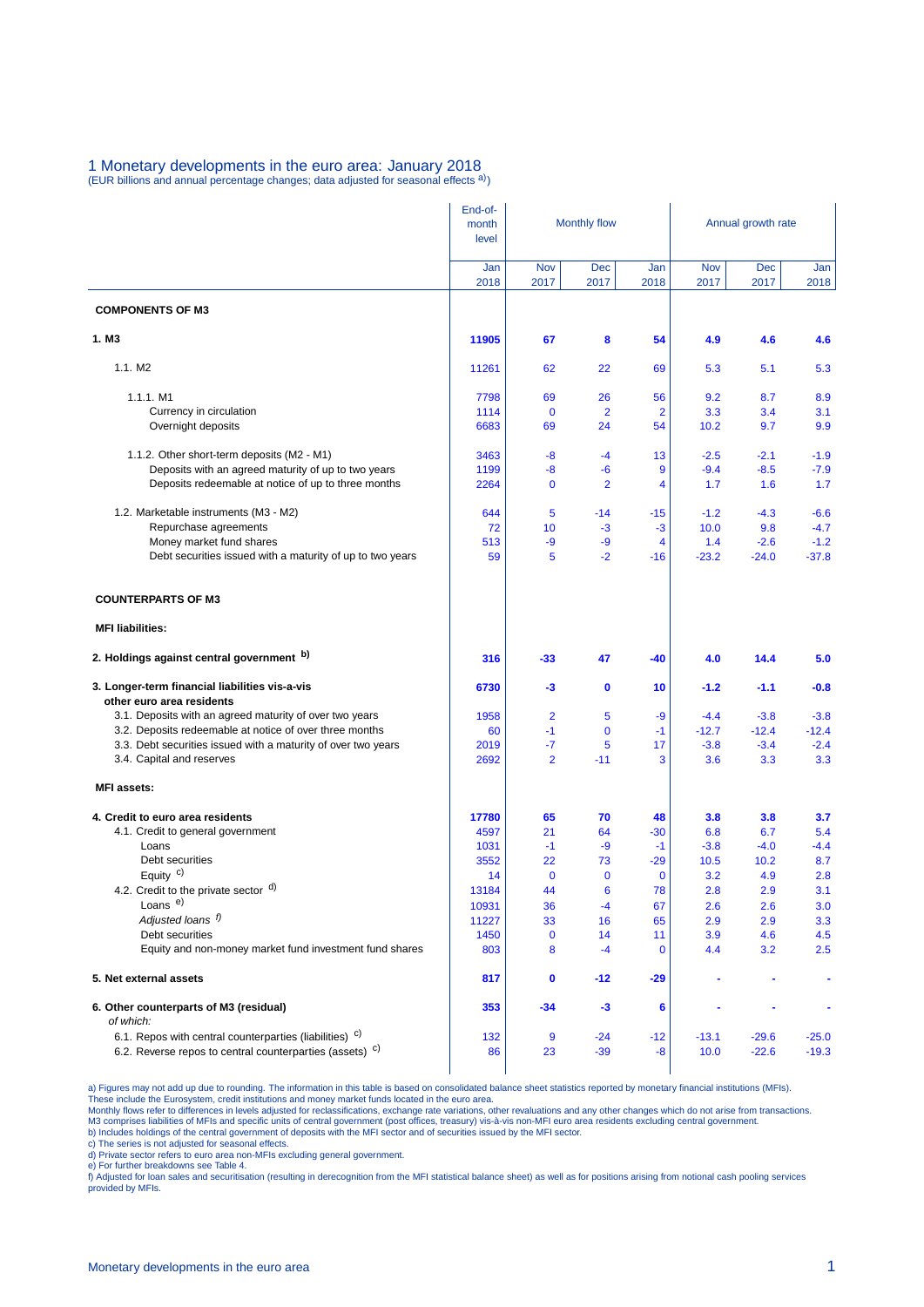#### 1 Monetary developments in the euro area: January 2018 (EUR billions and annual percentage changes; data adjusted for seasonal effects a))

|                                                                             | End-of-<br>month<br>level |                    | <b>Monthly flow</b> |                      | Annual growth rate |                    |             |  |
|-----------------------------------------------------------------------------|---------------------------|--------------------|---------------------|----------------------|--------------------|--------------------|-------------|--|
|                                                                             | Jan<br>2018               | <b>Nov</b><br>2017 | Dec<br>2017         | Jan<br>2018          | Nov<br>2017        | <b>Dec</b><br>2017 | Jan<br>2018 |  |
| <b>COMPONENTS OF M3</b>                                                     |                           |                    |                     |                      |                    |                    |             |  |
| 1. M <sub>3</sub>                                                           | 11905                     | 67                 | 8                   | 54                   | 4.9                | 4.6                | 4.6         |  |
| 1.1. M2                                                                     | 11261                     | 62                 | 22                  | 69                   | 5.3                | 5.1                | 5.3         |  |
| 1.1.1. M1                                                                   | 7798                      | 69                 | 26                  | 56                   | 9.2                | 8.7                | 8.9         |  |
| Currency in circulation                                                     | 1114                      | $\mathbf 0$        | $\overline{2}$      | $\overline{2}$       | 3.3                | 3.4                | 3.1         |  |
| Overnight deposits                                                          | 6683                      | 69                 | 24                  | 54                   | 10.2               | 9.7                | 9.9         |  |
| 1.1.2. Other short-term deposits (M2 - M1)                                  | 3463                      | -8                 | $-4$                | 13                   | $-2.5$             | $-2.1$             | $-1.9$      |  |
| Deposits with an agreed maturity of up to two years                         | 1199                      | -8                 | -6                  | 9                    | $-9.4$             | $-8.5$             | $-7.9$      |  |
| Deposits redeemable at notice of up to three months                         | 2264                      | $\mathbf 0$        | $\overline{2}$      | 4                    | 1.7                | 1.6                | 1.7         |  |
| 1.2. Marketable instruments (M3 - M2)                                       | 644                       | 5                  | $-14$               | $-15$                | $-1.2$             | $-4.3$             | $-6.6$      |  |
| Repurchase agreements                                                       | 72                        | 10                 | -3                  | $-3$                 | 10.0               | 9.8                | $-4.7$      |  |
| Money market fund shares                                                    | 513                       | -9                 | -9                  | 4                    | 1.4                | $-2.6$             | $-1.2$      |  |
| Debt securities issued with a maturity of up to two years                   | 59                        | 5                  | $-2$                | $-16$                | $-23.2$            | $-24.0$            | $-37.8$     |  |
| <b>COUNTERPARTS OF M3</b>                                                   |                           |                    |                     |                      |                    |                    |             |  |
| <b>MFI liabilities:</b>                                                     |                           |                    |                     |                      |                    |                    |             |  |
| 2. Holdings against central government b)                                   | 316                       | -33                | 47                  | $-40$                | 4.0                | 14.4               | 5.0         |  |
| 3. Longer-term financial liabilities vis-a-vis<br>other euro area residents | 6730                      | -3                 | $\mathbf 0$         | 10                   | $-1.2$             | $-1.1$             | $-0.8$      |  |
| 3.1. Deposits with an agreed maturity of over two years                     | 1958                      | 2                  | 5                   | -9                   | -4.4               | $-3.8$             | $-3.8$      |  |
| 3.2. Deposits redeemable at notice of over three months                     | 60                        | $-1$               | $\mathbf 0$         | $-1$                 | $-12.7$            | $-12.4$            | $-12.4$     |  |
| 3.3. Debt securities issued with a maturity of over two years               | 2019                      | -7                 | 5                   | 17                   | $-3.8$             | $-3.4$             | $-2.4$      |  |
| 3.4. Capital and reserves<br><b>MFI</b> assets:                             | 2692                      | $\overline{2}$     | $-11$               | 3                    | 3.6                | 3.3                | 3.3         |  |
|                                                                             |                           |                    |                     |                      |                    |                    |             |  |
| 4. Credit to euro area residents                                            | 17780                     | 65                 | 70                  | 48                   | 3.8                | 3.8                | 3.7         |  |
| 4.1. Credit to general government                                           | 4597                      | 21                 | 64                  | $-30$                | 6.8                | 6.7                | 5.4         |  |
| Loans                                                                       | 1031                      | $-1$               | -9                  | $-1$                 | $-3.8$             | $-4.0$             | $-4.4$      |  |
| Debt securities<br>Equity $c$ )                                             | 3552<br>14                | 22<br>$\mathbf 0$  | 73<br>$\mathbf 0$   | $-29$<br>$\mathbf 0$ | 10.5<br>3.2        | 10.2<br>4.9        | 8.7<br>2.8  |  |
| 4.2. Credit to the private sector d)                                        | 13184                     | 44                 | 6                   | 78                   | 2.8                | 2.9                | 3.1         |  |
| Loans <sup>e)</sup>                                                         | 10931                     | 36                 | $-4$                | 67                   | 2.6                | 2.6                | 3.0         |  |
| Adjusted loans f)                                                           | 11227                     | 33                 | 16                  | 65                   | 2.9                | 2.9                | 3.3         |  |
| Debt securities                                                             | 1450                      | $\mathbf 0$        | 14                  | 11                   | 3.9                | 4.6                | 4.5         |  |
| Equity and non-money market fund investment fund shares                     | 803                       | 8                  | $-4$                | $\mathbf 0$          | 4.4                | 3.2                | 2.5         |  |
| 5. Net external assets                                                      | 817                       | $\mathbf 0$        | $-12$               | $-29$                |                    |                    |             |  |
| 6. Other counterparts of M3 (residual)<br>of which:                         | 353                       | -34                | $-3$                | 6                    |                    |                    |             |  |
| 6.1. Repos with central counterparties (liabilities) <sup>c)</sup>          | 132                       | 9                  | $-24$               | $-12$                | $-13.1$            | $-29.6$            | $-25.0$     |  |
| 6.2. Reverse repos to central counterparties (assets) c)                    | 86                        | 23                 | $-39$               | -8                   | 10.0               | $-22.6$            | $-19.3$     |  |

a) Figures may not add up due to rounding. The information in this table is based on consolidated balance sheet statistics reported by monetary financial institutions (MFIs).<br>These include the Eurosystem, credit institutio

c) The series is not adjusted for seasonal effects. d) Private sector refers to euro area non-MFIs excluding general government.

e) For further breakdowns see Table 4.<br>f) Adjusted for loan sales and securitisation (resulting in derecognition from the MFI statistical balance sheet) as well as for positions arising from notional cash pooling services provided by MFIs.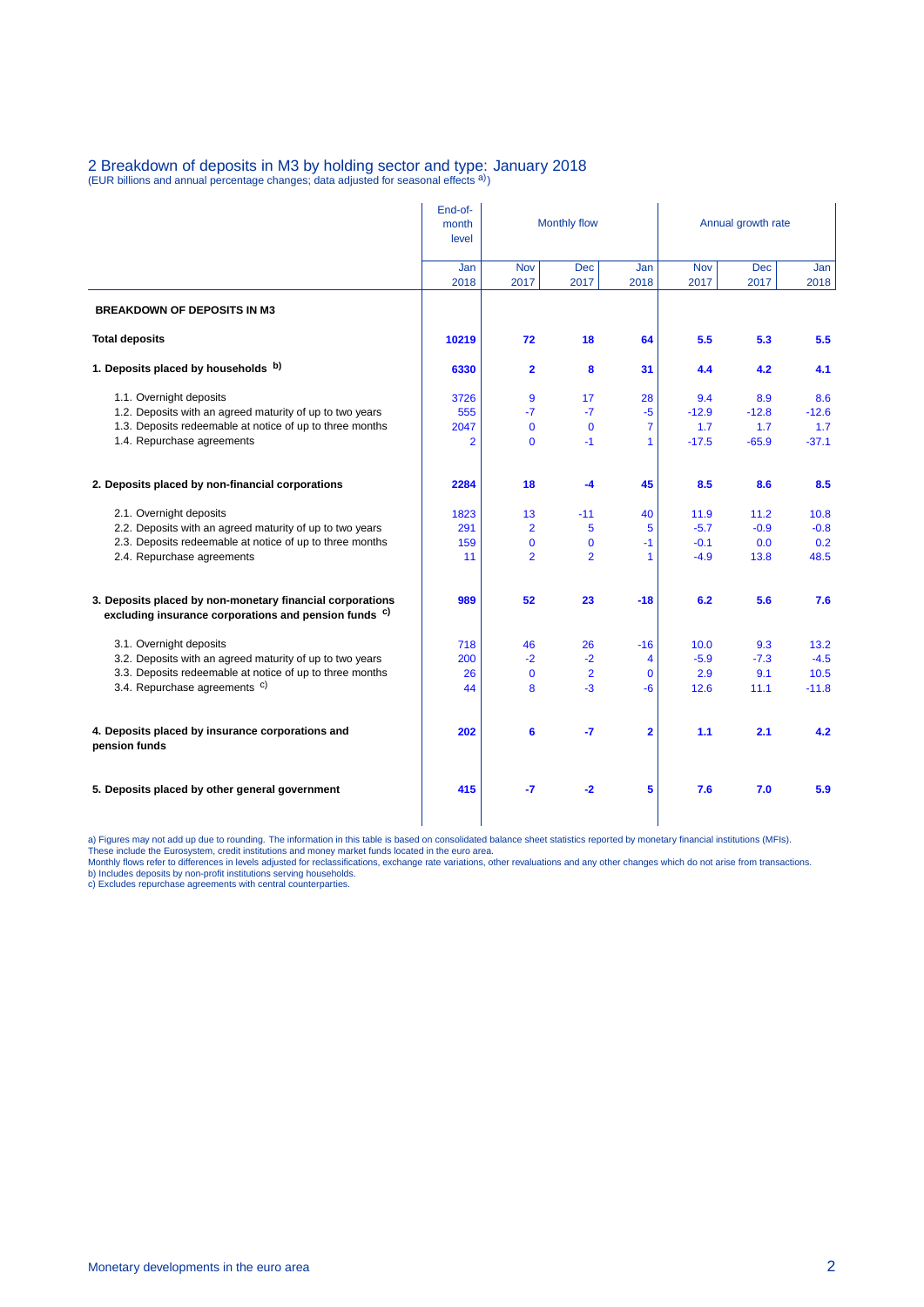## 2 Breakdown of deposits in M3 by holding sector and type: January 2018<br>(EUR billions and annual percentage changes; data adjusted for seasonal effects <sup>a)</sup>)

|                                                                                                                    | End-of-<br>month<br>level | Monthly flow            |                    |                         | Annual growth rate |             |             |  |
|--------------------------------------------------------------------------------------------------------------------|---------------------------|-------------------------|--------------------|-------------------------|--------------------|-------------|-------------|--|
|                                                                                                                    | Jan<br>2018               | <b>Nov</b><br>2017      | <b>Dec</b><br>2017 | Jan<br>2018             | <b>Nov</b><br>2017 | Dec<br>2017 | Jan<br>2018 |  |
| <b>BREAKDOWN OF DEPOSITS IN M3</b>                                                                                 |                           |                         |                    |                         |                    |             |             |  |
| <b>Total deposits</b>                                                                                              | 10219                     | 72                      | 18                 | 64                      | 5.5                | 5.3         | 5.5         |  |
| 1. Deposits placed by households b)                                                                                | 6330                      | $\overline{\mathbf{2}}$ | 8                  | 31                      | 4.4                | 4.2         | 4.1         |  |
| 1.1. Overnight deposits                                                                                            | 3726                      | 9                       | 17                 | 28                      | 9.4                | 8.9         | 8.6         |  |
| 1.2. Deposits with an agreed maturity of up to two years                                                           | 555                       | $-7$                    | $-7$               | $-5$                    | $-12.9$            | $-12.8$     | $-12.6$     |  |
| 1.3. Deposits redeemable at notice of up to three months                                                           | 2047                      | $\mathbf{0}$            | $\mathbf 0$        | 7                       | 1.7                | 1.7         | 1.7         |  |
| 1.4. Repurchase agreements                                                                                         | 2                         | $\mathbf{0}$            | $-1$               | 1                       | $-17.5$            | $-65.9$     | $-37.1$     |  |
| 2. Deposits placed by non-financial corporations                                                                   | 2284                      | 18                      | -4                 | 45                      | 8.5                | 8.6         | 8.5         |  |
| 2.1. Overnight deposits                                                                                            | 1823                      | 13                      | $-11$              | 40                      | 11.9               | 11.2        | 10.8        |  |
| 2.2. Deposits with an agreed maturity of up to two years                                                           | 291                       | $\overline{2}$          | 5                  | 5                       | $-5.7$             | $-0.9$      | $-0.8$      |  |
| 2.3. Deposits redeemable at notice of up to three months                                                           | 159                       | $\mathbf{0}$            | $\mathbf{0}$       | $-1$                    | $-0.1$             | 0.0         | 0.2         |  |
| 2.4. Repurchase agreements                                                                                         | 11                        | $\overline{2}$          | $\overline{2}$     | 1                       | $-4.9$             | 13.8        | 48.5        |  |
| 3. Deposits placed by non-monetary financial corporations<br>excluding insurance corporations and pension funds c) | 989                       | 52                      | 23                 | -18                     | 6.2                | 5.6         | 7.6         |  |
| 3.1. Overnight deposits                                                                                            | 718                       | 46                      | 26                 | $-16$                   | 10.0               | 9.3         | 13.2        |  |
| 3.2. Deposits with an agreed maturity of up to two years                                                           | 200                       | $-2$                    | $-2$               | $\overline{\mathbf{4}}$ | $-5.9$             | $-7.3$      | $-4.5$      |  |
| 3.3. Deposits redeemable at notice of up to three months                                                           | 26                        | $\mathbf 0$             | $\overline{2}$     | $\mathbf{0}$            | 2.9                | 9.1         | 10.5        |  |
| 3.4. Repurchase agreements c)                                                                                      | 44                        | 8                       | $-3$               | $-6$                    | 12.6               | 11.1        | $-11.8$     |  |
| 4. Deposits placed by insurance corporations and<br>pension funds                                                  | 202                       | 6                       | -7                 | $\overline{\mathbf{2}}$ | 1.1                | 2.1         | 4.2         |  |
| 5. Deposits placed by other general government                                                                     | 415                       | -7                      | $-2$               | 5                       | 7.6                | 7.0         | 5.9         |  |

a) Figures may not add up due to rounding. The information in this table is based on consolidated balance sheet statistics reported by monetary financial institutions (MFIs).<br>These include the Eurosystem, credit institutio